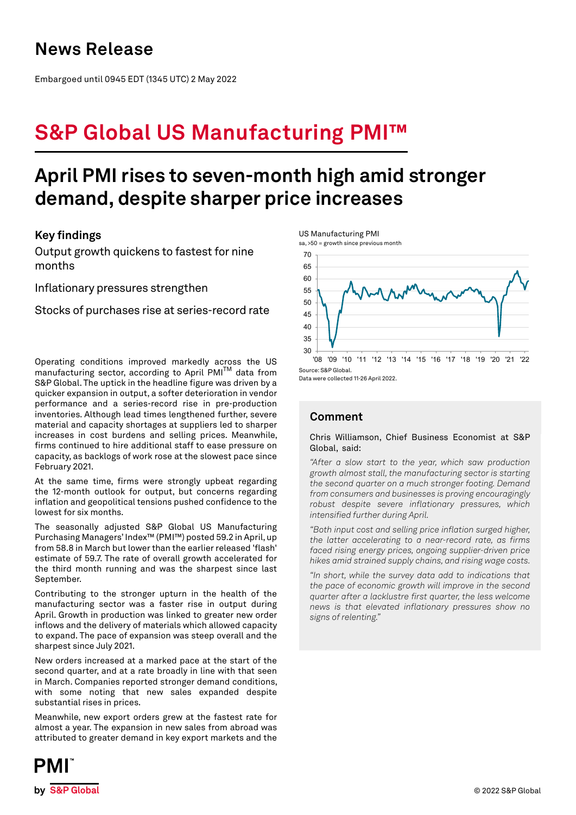# **News Release**

Embargoed until 0945 EDT (1345 UTC) 2 May 2022

# **S&P Global US Manufacturing PMI™**

# **April PMI rises to seven-month high amid stronger demand, despite sharper price increases**

## **Key findings**

Output growth quickens to fastest for nine months

Inflationary pressures strengthen

Stocks of purchases rise at series-record rate

Operating conditions improved markedly across the US manufacturing sector, according to April PMI<sup>TM</sup> data from S&P Global. The uptick in the headline figure was driven by a quicker expansion in output, a softer deterioration in vendor performance and a series-record rise in pre-production inventories. Although lead times lengthened further, severe material and capacity shortages at suppliers led to sharper increases in cost burdens and selling prices. Meanwhile, firms continued to hire additional staff to ease pressure on capacity, as backlogs of work rose at the slowest pace since February 2021.

At the same time, firms were strongly upbeat regarding the 12-month outlook for output, but concerns regarding inflation and geopolitical tensions pushed confidence to the lowest for six months.

The seasonally adjusted S&P Global US Manufacturing Purchasing Managers' Index™ (PMI™) posted 59.2 in April, up from 58.8 in March but lower than the earlier released 'flash' estimate of 59.7. The rate of overall growth accelerated for the third month running and was the sharpest since last September.

Contributing to the stronger upturn in the health of the manufacturing sector was a faster rise in output during April. Growth in production was linked to greater new order inflows and the delivery of materials which allowed capacity to expand. The pace of expansion was steep overall and the sharpest since July 2021.

New orders increased at a marked pace at the start of the second quarter, and at a rate broadly in line with that seen in March. Companies reported stronger demand conditions, with some noting that new sales expanded despite substantial rises in prices.

Meanwhile, new export orders grew at the fastest rate for almost a year. The expansion in new sales from abroad was attributed to greater demand in key export markets and the



Data were collected 11-26 April 2022.

# **Comment**

## Chris Williamson, Chief Business Economist at S&P Global, said:

*"After a slow start to the year, which saw production growth almost stall, the manufacturing sector is starting the second quarter on a much stronger footing. Demand from consumers and businesses is proving encouragingly robust despite severe inflationary pressures, which intensified further during April.* 

*"Both input cost and selling price inflation surged higher, the latter accelerating to a near-record rate, as firms faced rising energy prices, ongoing supplier-driven price hikes amid strained supply chains, and rising wage costs.* 

*"In short, while the survey data add to indications that the pace of economic growth will improve in the second quarter after a lacklustre first quarter, the less welcome news is that elevated inflationary pressures show no signs of relenting."*